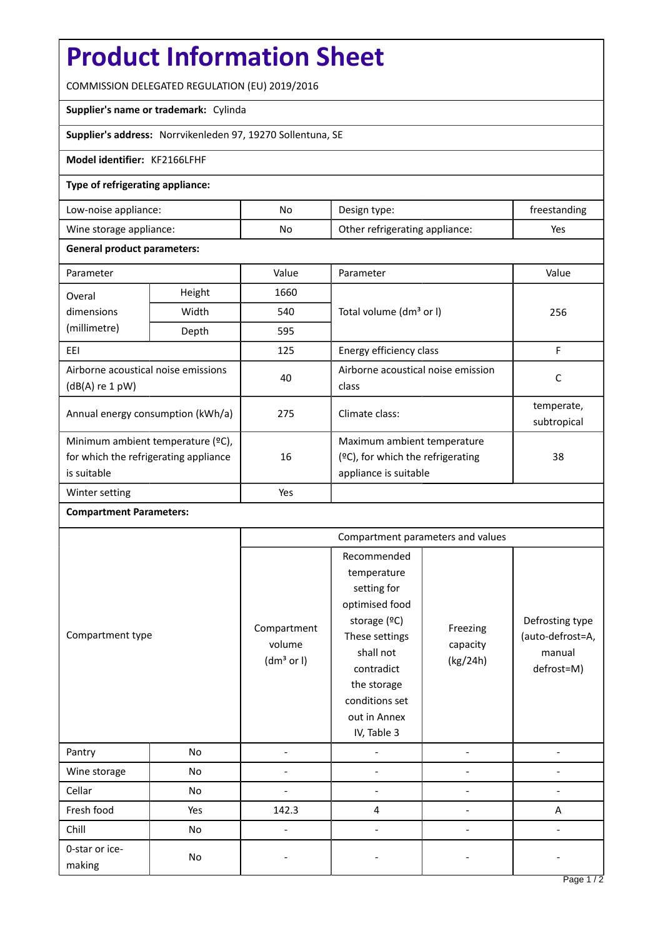# **Product Information Sheet**

COMMISSION DELEGATED REGULATION (EU) 2019/2016

## **Supplier's name or trademark:** Cylinda

**Supplier's address:** Norrvikenleden 97, 19270 Sollentuna, SE

## **Model identifier:** KF2166LFHF

#### **Type of refrigerating appliance:**

| Low-noise appliance:    | No | Design type:                   | freestanding |
|-------------------------|----|--------------------------------|--------------|
| Wine storage appliance: | No | Other refrigerating appliance: | Yes          |

#### **General product parameters:**

| Parameter                                                                                 |        | Value | Parameter                                                                                    | Value                     |
|-------------------------------------------------------------------------------------------|--------|-------|----------------------------------------------------------------------------------------------|---------------------------|
| Overal                                                                                    | Height | 1660  |                                                                                              | 256                       |
| dimensions<br>(millimetre)                                                                | Width  | 540   | Total volume (dm <sup>3</sup> or I)                                                          |                           |
|                                                                                           | Depth  | 595   |                                                                                              |                           |
| EEI                                                                                       |        | 125   | Energy efficiency class                                                                      | F                         |
| Airborne acoustical noise emissions<br>$(dB(A)$ re 1 pW)                                  |        | 40    | Airborne acoustical noise emission<br>class                                                  | C                         |
| Annual energy consumption (kWh/a)                                                         |        | 275   | Climate class:                                                                               | temperate,<br>subtropical |
| Minimum ambient temperature (°C),<br>for which the refrigerating appliance<br>is suitable |        | 16    | Maximum ambient temperature<br>$(2C)$ , for which the refrigerating<br>appliance is suitable | 38                        |
| Winter setting                                                                            |        | Yes   |                                                                                              |                           |

# **Compartment Parameters:**

| Compartment type         |     | Compartment parameters and values               |                                                                                                                                                                                          |                                  |                                                             |
|--------------------------|-----|-------------------------------------------------|------------------------------------------------------------------------------------------------------------------------------------------------------------------------------------------|----------------------------------|-------------------------------------------------------------|
|                          |     | Compartment<br>volume<br>(dm <sup>3</sup> or I) | Recommended<br>temperature<br>setting for<br>optimised food<br>storage (°C)<br>These settings<br>shall not<br>contradict<br>the storage<br>conditions set<br>out in Annex<br>IV, Table 3 | Freezing<br>capacity<br>(kg/24h) | Defrosting type<br>(auto-defrost=A,<br>manual<br>defrost=M) |
| Pantry                   | No  |                                                 |                                                                                                                                                                                          |                                  |                                                             |
| Wine storage             | No  |                                                 |                                                                                                                                                                                          |                                  |                                                             |
| Cellar                   | No  |                                                 |                                                                                                                                                                                          |                                  |                                                             |
| Fresh food               | Yes | 142.3                                           | 4                                                                                                                                                                                        |                                  | A                                                           |
| Chill                    | No  |                                                 |                                                                                                                                                                                          |                                  |                                                             |
| 0-star or ice-<br>making | No  |                                                 |                                                                                                                                                                                          |                                  |                                                             |